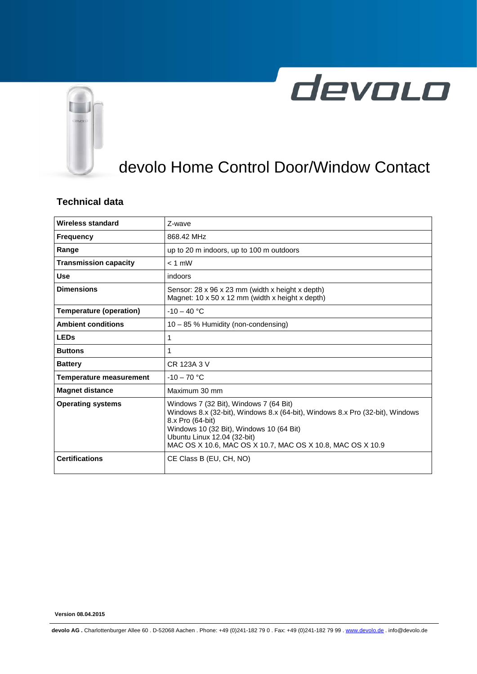



## devolo Home Control Door/Window Contact

## **Technical data**

| Wireless standard              | 7-wave                                                                                                                                                                                                                                                                               |  |
|--------------------------------|--------------------------------------------------------------------------------------------------------------------------------------------------------------------------------------------------------------------------------------------------------------------------------------|--|
| <b>Frequency</b>               | 868.42 MHz                                                                                                                                                                                                                                                                           |  |
| Range                          | up to 20 m indoors, up to 100 m outdoors                                                                                                                                                                                                                                             |  |
| <b>Transmission capacity</b>   | $< 1$ mW                                                                                                                                                                                                                                                                             |  |
| <b>Use</b>                     | indoors                                                                                                                                                                                                                                                                              |  |
| <b>Dimensions</b>              | Sensor: 28 x 96 x 23 mm (width x height x depth)<br>Magnet: 10 x 50 x 12 mm (width x height x depth)                                                                                                                                                                                 |  |
| <b>Temperature (operation)</b> | $-10 - 40$ °C                                                                                                                                                                                                                                                                        |  |
| <b>Ambient conditions</b>      | 10 - 85 % Humidity (non-condensing)                                                                                                                                                                                                                                                  |  |
| <b>LEDs</b>                    | 1                                                                                                                                                                                                                                                                                    |  |
| <b>Buttons</b>                 | 1                                                                                                                                                                                                                                                                                    |  |
| <b>Battery</b>                 | CR 123A 3 V                                                                                                                                                                                                                                                                          |  |
| <b>Temperature measurement</b> | $-10 - 70$ °C                                                                                                                                                                                                                                                                        |  |
| <b>Magnet distance</b>         | Maximum 30 mm                                                                                                                                                                                                                                                                        |  |
| <b>Operating systems</b>       | Windows 7 (32 Bit), Windows 7 (64 Bit)<br>Windows 8.x (32-bit), Windows 8.x (64-bit), Windows 8.x Pro (32-bit), Windows<br>8.x Pro (64-bit)<br>Windows 10 (32 Bit), Windows 10 (64 Bit)<br>Ubuntu Linux 12.04 (32-bit)<br>MAC OS X 10.6, MAC OS X 10.7, MAC OS X 10.8, MAC OS X 10.9 |  |
| <b>Certifications</b>          | CE Class B (EU, CH, NO)                                                                                                                                                                                                                                                              |  |

**Version 08.04.2015**

**devolo AG .** Charlottenburger Allee 60 . D-52068 Aachen . Phone: +49 (0)241-182 79 0 . Fax: +49 (0)241-182 79 99 [. www.devolo.de](http://www.devolo.de/) . info@devolo.de